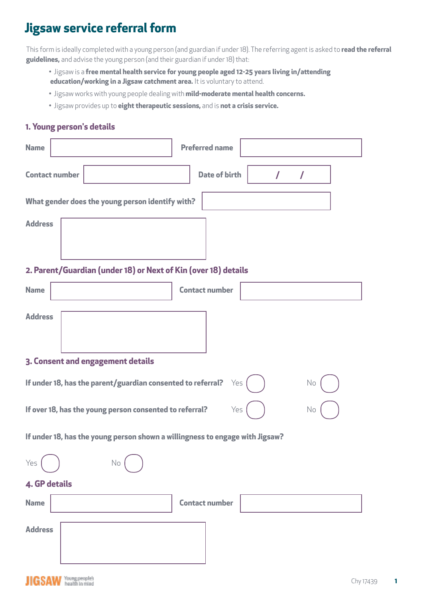## **Jigsaw service referral form**

This form is ideally completed with a young person (and guardian if under 18). The referring agent is asked to **read the referral guidelines,** and advise the young person (and their guardian if under 18) that:

- Jigsaw is a **free mental health service for young people aged 12-25 years living in/attending education/working in a Jigsaw catchment area.** It is voluntary to attend.
- Jigsaw works with young people dealing with **mild-moderate mental health concerns.**
- Jigsaw provides up to **eight therapeutic sessions,** and is **not a crisis service.**

## **1. Young person's details**

| <b>Name</b>                                                                  | <b>Preferred name</b>                 |  |
|------------------------------------------------------------------------------|---------------------------------------|--|
| <b>Contact number</b>                                                        | <b>Date of birth</b><br>$\prime$<br>7 |  |
| What gender does the young person identify with?                             |                                       |  |
| <b>Address</b>                                                               |                                       |  |
|                                                                              |                                       |  |
| 2. Parent/Guardian (under 18) or Next of Kin (over 18) details               |                                       |  |
| <b>Name</b>                                                                  | <b>Contact number</b>                 |  |
| <b>Address</b>                                                               |                                       |  |
|                                                                              |                                       |  |
| 3. Consent and engagement details                                            |                                       |  |
| If under 18, has the parent/guardian consented to referral?<br>Yes<br>No     |                                       |  |
| If over 18, has the young person consented to referral?<br>Yes<br>No         |                                       |  |
| If under 18, has the young person shown a willingness to engage with Jigsaw? |                                       |  |
| $\sim$ $\sim$<br>Yes<br>No                                                   |                                       |  |
| <b>4. GP details</b>                                                         |                                       |  |
| <b>Name</b>                                                                  | <b>Contact number</b>                 |  |
| <b>Address</b>                                                               |                                       |  |
|                                                                              |                                       |  |